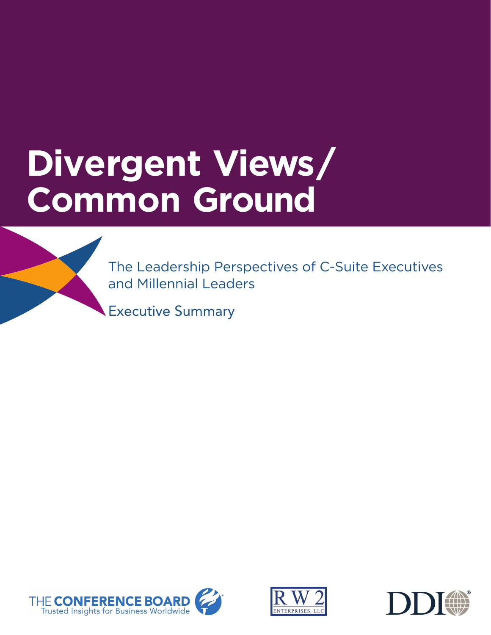# **Divergent Views/ Common Ground**

The Leadership Perspectives of C-Suite Executives and Millennial Leaders

Executive Summary





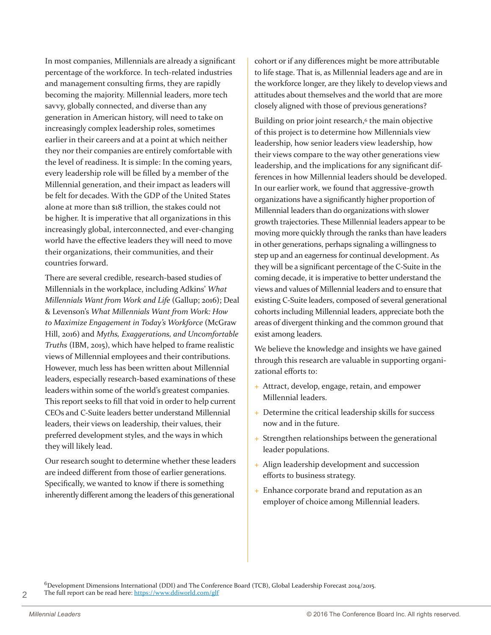In most companies, Millennials are already a significant percentage of the workforce. In tech-related industries and management consulting firms, they are rapidly becoming the majority. Millennial leaders, more tech savvy, globally connected, and diverse than any generation in American history, will need to take on increasingly complex leadership roles, sometimes earlier in their careers and at a point at which neither they nor their companies are entirely comfortable with the level of readiness. It is simple: In the coming years, every leadership role will be filled by a member of the Millennial generation, and their impact as leaders will be felt for decades. With the GDP of the United States alone at more than \$18 trillion, the stakes could not be higher. It is imperative that all organizations in this increasingly global, interconnected, and ever-changing world have the effective leaders they will need to move their organizations, their communities, and their countries forward.

There are several credible, research-based studies of Millennials in the workplace, including Adkins' *What Millennials Want from Work and Life* (Gallup; 2016); Deal & Levenson's *What Millennials Want from Work: How to Maximize Engagement in Today's Workforce* (McGraw Hill, 2016) and *Myths, Exaggerations, and Uncomfortable Truths* (IBM, 2015), which have helped to frame realistic views of Millennial employees and their contributions. However, much less has been written about Millennial leaders, especially research-based examinations of these leaders within some of the world's greatest companies. This report seeks to fill that void in order to help current CEOs and C-Suite leaders better understand Millennial leaders, their views on leadership, their values, their preferred development styles, and the ways in which they will likely lead.

Our research sought to determine whether these leaders are indeed different from those of earlier generations. Specifically, we wanted to know if there is something inherently different among the leaders of this generational

cohort or if any differences might be more attributable to life stage. That is, as Millennial leaders age and are in the workforce longer, are they likely to develop views and attitudes about themselves and the world that are more closely aligned with those of previous generations?

Building on prior joint research,<sup>6</sup> the main objective of this project is to determine how Millennials view leadership, how senior leaders view leadership, how their views compare to the way other generations view leadership, and the implications for any significant differences in how Millennial leaders should be developed. In our earlier work, we found that aggressive-growth organizations have a significantly higher proportion of Millennial leaders than do organizations with slower growth trajectories. These Millennial leaders appear to be moving more quickly through the ranks than have leaders in other generations, perhaps signaling a willingness to step up and an eagerness for continual development. As they will be a significant percentage of the C-Suite in the coming decade, it is imperative to better understand the views and values of Millennial leaders and to ensure that existing C-Suite leaders, composed of several generational cohorts including Millennial leaders, appreciate both the areas of divergent thinking and the common ground that exist among leaders.

We believe the knowledge and insights we have gained through this research are valuable in supporting organizational efforts to:

- + Attract, develop, engage, retain, and empower Millennial leaders.
- + Determine the critical leadership skills for success now and in the future.
- + Strengthen relationships between the generational leader populations.
- + Align leadership development and succession efforts to business strategy.
- + Enhance corporate brand and reputation as an employer of choice among Millennial leaders.

 $6$ Development Dimensions International (DDI) and The Conference Board (TCB), Global Leadership Forecast 2014/2015. The full report can be read here: https://www.ddiworld.com/glf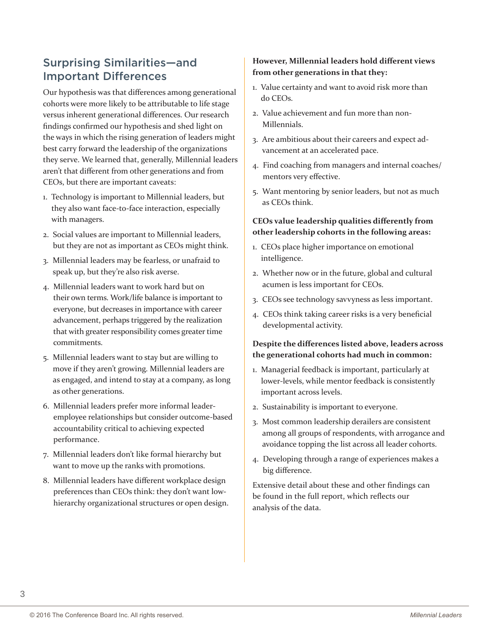# Surprising Similarities—and Important Differences

Our hypothesis was that differences among generational cohorts were more likely to be attributable to life stage versus inherent generational differences. Our research findings confirmed our hypothesis and shed light on the ways in which the rising generation of leaders might best carry forward the leadership of the organizations they serve. We learned that, generally, Millennial leaders aren't that different from other generations and from CEOs, but there are important caveats:

- 1. Technology is important to Millennial leaders, but they also want face-to-face interaction, especially with managers.
- 2. Social values are important to Millennial leaders, but they are not as important as CEOs might think.
- 3. Millennial leaders may be fearless, or unafraid to speak up, but they're also risk averse.
- 4. Millennial leaders want to work hard but on their own terms. Work/life balance is important to everyone, but decreases in importance with career advancement, perhaps triggered by the realization that with greater responsibility comes greater time commitments.
- 5. Millennial leaders want to stay but are willing to move if they aren't growing. Millennial leaders are as engaged, and intend to stay at a company, as long as other generations.
- 6. Millennial leaders prefer more informal leaderemployee relationships but consider outcome-based accountability critical to achieving expected performance.
- 7. Millennial leaders don't like formal hierarchy but want to move up the ranks with promotions.
- 8. Millennial leaders have different workplace design preferences than CEOs think: they don't want lowhierarchy organizational structures or open design.

# **However, Millennial leaders hold different views from other generations in that they:**

- 1. Value certainty and want to avoid risk more than do CEOs.
- 2. Value achievement and fun more than non-Millennials.
- 3. Are ambitious about their careers and expect advancement at an accelerated pace.
- 4. Find coaching from managers and internal coaches/ mentors very effective.
- 5. Want mentoring by senior leaders, but not as much as CEOs think.

## **CEOs value leadership qualities differently from other leadership cohorts in the following areas:**

- 1. CEOs place higher importance on emotional intelligence.
- 2. Whether now or in the future, global and cultural acumen is less important for CEOs.
- 3. CEOs see technology savvyness as less important.
- 4. CEOs think taking career risks is a very beneficial developmental activity.

## **Despite the differences listed above, leaders across the generational cohorts had much in common:**

- 1. Managerial feedback is important, particularly at lower-levels, while mentor feedback is consistently important across levels.
- 2. Sustainability is important to everyone.
- 3. Most common leadership derailers are consistent among all groups of respondents, with arrogance and avoidance topping the list across all leader cohorts.
- 4. Developing through a range of experiences makes a big difference.

Extensive detail about these and other findings can be found in the full report, which reflects our analysis of the data.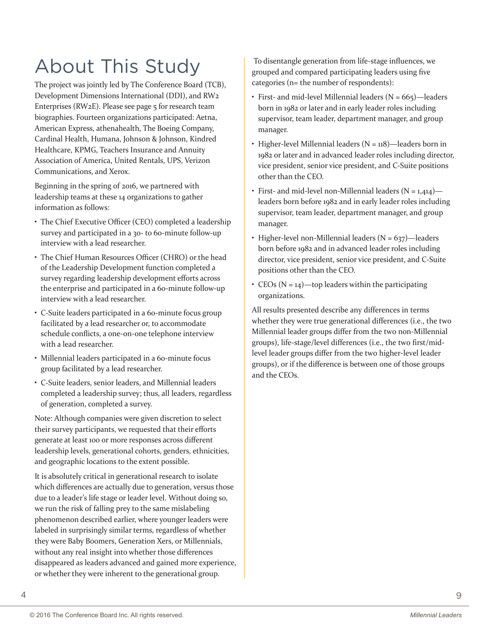# About This Study

The project was jointly led by The Conference Board (TCB), Development Dimensions International (DDI), and RW2 Enterprises (RW2E). Please see page 5 for research team biographies. Fourteen organizations participated: Aetna, American Express, athenahealth, The Boeing Company, Cardinal Health, Humana, Johnson & Johnson, Kindred Healthcare, KPMG, Teachers Insurance and Annuity Association of America, United Rentals, UPS, Verizon Communications, and Xerox.

Beginning in the spring of 2016, we partnered with leadership teams at these 14 organizations to gather information as follows:

- The Chief Executive Officer (CEO) completed a leadership survey and participated in a 30- to 60-minute follow-up interview with a lead researcher.
- The Chief Human Resources Officer (CHRO) or the head of the Leadership Development function completed a survey regarding leadership development efforts across the enterprise and participated in a 60-minute follow-up interview with a lead researcher.
- C-Suite leaders participated in a 60-minute focus group facilitated by a lead researcher or, to accommodate schedule conflicts, a one-on-one telephone interview with a lead researcher.
- Millennial leaders participated in a 60-minute focus group facilitated by a lead researcher.
- C-Suite leaders, senior leaders, and Millennial leaders completed a leadership survey; thus, all leaders, regardless of generation, completed a survey.

Note: Although companies were given discretion to select their survey participants, we requested that their efforts generate at least 100 or more responses across different leadership levels, generational cohorts, genders, ethnicities, and geographic locations to the extent possible.

It is absolutely critical in generational research to isolate which differences are actually due to generation, versus those due to a leader's life stage or leader level. Without doing so, we run the risk of falling prey to the same mislabeling phenomenon described earlier, where younger leaders were labeled in surprisingly similar terms, regardless of whether they were Baby Boomers, Generation Xers, or Millennials, without any real insight into whether those differences disappeared as leaders advanced and gained more experience, or whether they were inherent to the generational group.

 To disentangle generation from life-stage influences, we grouped and compared participating leaders using five categories (n= the number of respondents):

- First- and mid-level Millennial leaders  $(N = 665)$ —leaders born in 1982 or later and in early leader roles including supervisor, team leader, department manager, and group manager.
- Higher-level Millennial leaders  $(N = 118)$ —leaders born in 1982 or later and in advanced leader roles including director, vice president, senior vice president, and C-Suite positions other than the CEO.
- First- and mid-level non-Millennial leaders  $(N = 1,414)$  leaders born before 1982 and in early leader roles including supervisor, team leader, department manager, and group manager.
- Higher-level non-Millennial leaders  $(N = 637)$ —leaders born before 1982 and in advanced leader roles including director, vice president, senior vice president, and C-Suite positions other than the CEO.
- CEOs ( $N = 14$ )—top leaders within the participating organizations.

All results presented describe any differences in terms whether they were true generational differences (i.e., the two Millennial leader groups differ from the two non-Millennial groups), life-stage/level differences (i.e., the two first/midlevel leader groups differ from the two higher-level leader groups), or if the difference is between one of those groups and the CEOs.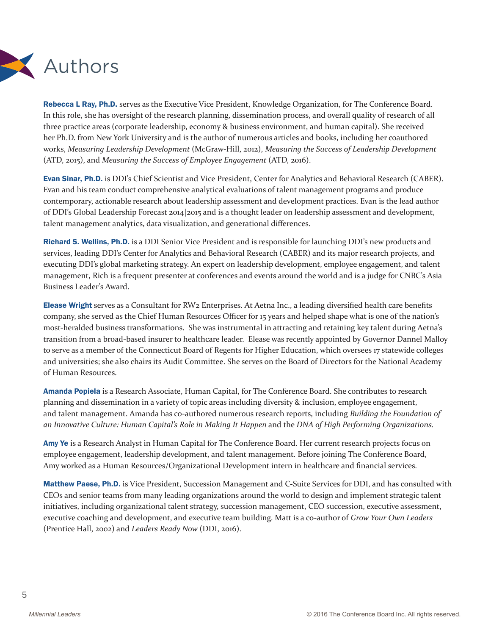

Rebecca L Ray, Ph.D. serves as the Executive Vice President, Knowledge Organization, for The Conference Board. In this role, she has oversight of the research planning, dissemination process, and overall quality of research of all three practice areas (corporate leadership, economy & business environment, and human capital). She received her Ph.D. from New York University and is the author of numerous articles and books, including her coauthored works, *Measuring Leadership Development* (McGraw-Hill, 2012), *Measuring the Success of Leadership Development* (ATD, 2015), and *Measuring the Success of Employee Engagement* (ATD, 2016).

Evan Sinar, Ph.D. is DDI's Chief Scientist and Vice President, Center for Analytics and Behavioral Research (CABER). Evan and his team conduct comprehensive analytical evaluations of talent management programs and produce contemporary, actionable research about leadership assessment and development practices. Evan is the lead author of DDI's Global Leadership Forecast 2014|2015 and is a thought leader on leadership assessment and development, talent management analytics, data visualization, and generational differences.

Richard S. Wellins, Ph.D. is a DDI Senior Vice President and is responsible for launching DDI's new products and services, leading DDI's Center for Analytics and Behavioral Research (CABER) and its major research projects, and executing DDI's global marketing strategy. An expert on leadership development, employee engagement, and talent management, Rich is a frequent presenter at conferences and events around the world and is a judge for CNBC's Asia Business Leader's Award.

Elease Wright serves as a Consultant for RW<sub>2</sub> Enterprises. At Aetna Inc., a leading diversified health care benefits company, she served as the Chief Human Resources Officer for 15 years and helped shape what is one of the nation's most-heralded business transformations. She was instrumental in attracting and retaining key talent during Aetna's transition from a broad-based insurer to healthcare leader. Elease was recently appointed by Governor Dannel Malloy to serve as a member of the Connecticut Board of Regents for Higher Education, which oversees 17 statewide colleges and universities; she also chairs its Audit Committee. She serves on the Board of Directors for the National Academy of Human Resources.

Amanda Popiela is a Research Associate, Human Capital, for The Conference Board. She contributes to research planning and dissemination in a variety of topic areas including diversity & inclusion, employee engagement, and talent management. Amanda has co-authored numerous research reports, including *Building the Foundation of an Innovative Culture: Human Capital's Role in Making It Happen* and the *DNA of High Performing Organizations.*

Amy Ye is a Research Analyst in Human Capital for The Conference Board. Her current research projects focus on employee engagement, leadership development, and talent management. Before joining The Conference Board, Amy worked as a Human Resources/Organizational Development intern in healthcare and financial services.

Matthew Paese, Ph.D. is Vice President, Succession Management and C-Suite Services for DDI, and has consulted with CEOs and senior teams from many leading organizations around the world to design and implement strategic talent initiatives, including organizational talent strategy, succession management, CEO succession, executive assessment, executive coaching and development, and executive team building. Matt is a co-author of *Grow Your Own Leaders*  (Prentice Hall, 2002) and *Leaders Ready Now* (DDI, 2016).